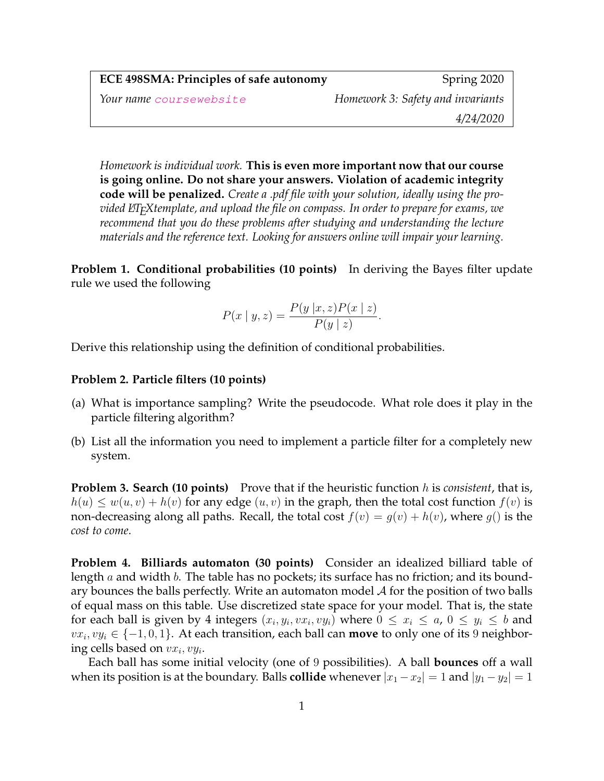| <b>ECE 498SMA: Principles of safe autonomy</b> | Spring 2020                       |
|------------------------------------------------|-----------------------------------|
| Your name coursewebsite                        | Homework 3: Safety and invariants |
|                                                | 4/24/2020                         |
|                                                |                                   |

*Homework is individual work.* **This is even more important now that our course is going online. Do not share your answers. Violation of academic integrity code will be penalized.** *Create a .pdf file with your solution, ideally using the provided LATEXtemplate, and upload the file on compass. In order to prepare for exams, we recommend that you do these problems after studying and understanding the lecture materials and the reference text. Looking for answers online will impair your learning.*

**Problem 1. Conditional probabilities (10 points)** In deriving the Bayes filter update rule we used the following

$$
P(x \mid y, z) = \frac{P(y \mid x, z)P(x \mid z)}{P(y \mid z)}.
$$

Derive this relationship using the definition of conditional probabilities.

## **Problem 2. Particle filters (10 points)**

- (a) What is importance sampling? Write the pseudocode. What role does it play in the particle filtering algorithm?
- (b) List all the information you need to implement a particle filter for a completely new system.

**Problem 3. Search (10 points)** Prove that if the heuristic function h is *consistent*, that is,  $h(u) \leq w(u, v) + h(v)$  for any edge  $(u, v)$  in the graph, then the total cost function  $f(v)$  is non-decreasing along all paths. Recall, the total cost  $f(v) = g(v) + h(v)$ , where  $g()$  is the *cost to come*.

**Problem 4. Billiards automaton (30 points)** Consider an idealized billiard table of length  $a$  and width  $b$ . The table has no pockets; its surface has no friction; and its boundary bounces the balls perfectly. Write an automaton model  $A$  for the position of two balls of equal mass on this table. Use discretized state space for your model. That is, the state for each ball is given by 4 integers  $(x_i, y_i, vx_i, vy_i)$  where  $0 \le x_i \le a$ ,  $0 \le y_i \le b$  and  $vx_i, vy_i \in \{-1, 0, 1\}$ . At each transition, each ball can **move** to only one of its 9 neighboring cells based on  $vx_i, vy_i$ .

Each ball has some initial velocity (one of 9 possibilities). A ball **bounces** off a wall when its position is at the boundary. Balls **collide** whenever  $|x_1 - x_2| = 1$  and  $|y_1 - y_2| = 1$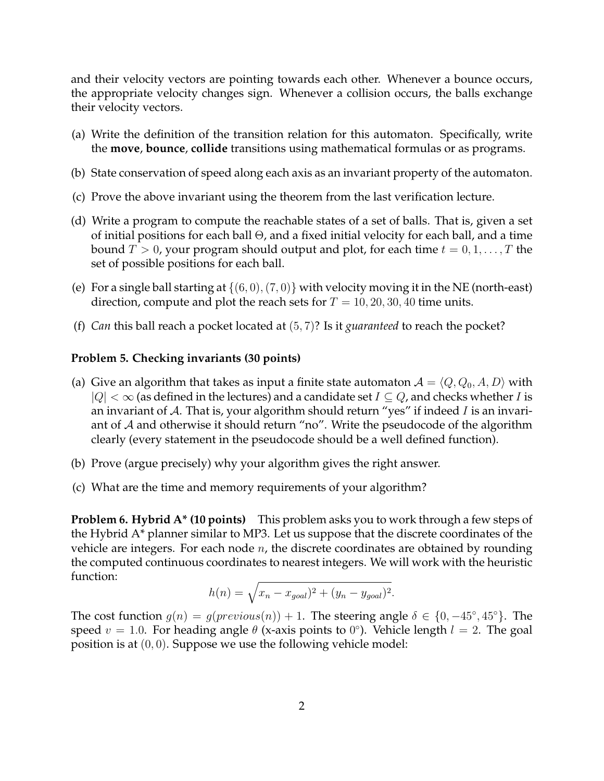and their velocity vectors are pointing towards each other. Whenever a bounce occurs, the appropriate velocity changes sign. Whenever a collision occurs, the balls exchange their velocity vectors.

- (a) Write the definition of the transition relation for this automaton. Specifically, write the **move**, **bounce**, **collide** transitions using mathematical formulas or as programs.
- (b) State conservation of speed along each axis as an invariant property of the automaton.
- (c) Prove the above invariant using the theorem from the last verification lecture.
- (d) Write a program to compute the reachable states of a set of balls. That is, given a set of initial positions for each ball  $\Theta$ , and a fixed initial velocity for each ball, and a time bound  $T > 0$ , your program should output and plot, for each time  $t = 0, 1, \ldots, T$  the set of possible positions for each ball.
- (e) For a single ball starting at  $\{(6, 0), (7, 0)\}\$  with velocity moving it in the NE (north-east) direction, compute and plot the reach sets for  $T = 10, 20, 30, 40$  time units.
- (f) *Can* this ball reach a pocket located at (5, 7)? Is it *guaranteed* to reach the pocket?

## **Problem 5. Checking invariants (30 points)**

- (a) Give an algorithm that takes as input a finite state automaton  $A = \langle Q, Q_0, A, D \rangle$  with  $|Q| < \infty$  (as defined in the lectures) and a candidate set  $I \subseteq Q$ , and checks whether I is an invariant of A. That is, your algorithm should return "yes" if indeed I is an invariant of  $A$  and otherwise it should return "no". Write the pseudocode of the algorithm clearly (every statement in the pseudocode should be a well defined function).
- (b) Prove (argue precisely) why your algorithm gives the right answer.
- (c) What are the time and memory requirements of your algorithm?

**Problem 6. Hybrid A\* (10 points)** This problem asks you to work through a few steps of the Hybrid A\* planner similar to MP3. Let us suppose that the discrete coordinates of the vehicle are integers. For each node  $n$ , the discrete coordinates are obtained by rounding the computed continuous coordinates to nearest integers. We will work with the heuristic function:

$$
h(n) = \sqrt{x_n - x_{goal})^2 + (y_n - y_{goal})^2}.
$$

The cost function  $g(n) = g(previous(n)) + 1$ . The steering angle  $\delta \in \{0, -45^{\circ}, 45^{\circ}\}\$ . The speed  $v = 1.0$ . For heading angle  $\theta$  (x-axis points to  $0^{\circ}$ ). Vehicle length  $l = 2$ . The goal position is at  $(0, 0)$ . Suppose we use the following vehicle model: